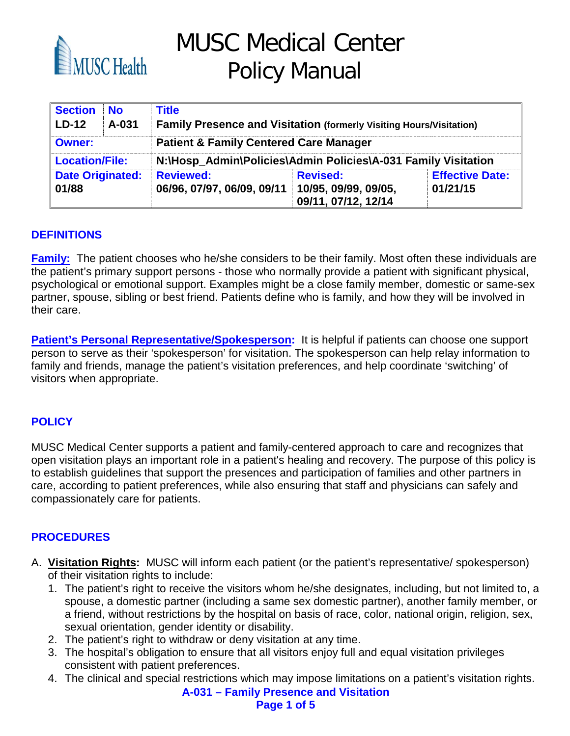

MUSC Medical Center Policy Manual

| <b>Section</b>                   | <b>No</b> | <b>Title</b>                                                               |                                        |                                    |  |
|----------------------------------|-----------|----------------------------------------------------------------------------|----------------------------------------|------------------------------------|--|
| l LD-12                          | A-031     | <b>Family Presence and Visitation (formerly Visiting Hours/Visitation)</b> |                                        |                                    |  |
| Owner:                           |           | <b>Patient &amp; Family Centered Care Manager</b>                          |                                        |                                    |  |
| <b>Location/File:</b>            |           | N:\Hosp_Admin\Policies\Admin Policies\A-031 Family Visitation              |                                        |                                    |  |
| <b>Date Originated:</b><br>01/88 |           | <b>Reviewed:</b><br>06/96, 07/97, 06/09, 09/11 10/95, 09/99, 09/05,        | <b>Revised:</b><br>09/11, 07/12, 12/14 | <b>Effective Date:</b><br>01/21/15 |  |

#### **DEFINITIONS**

**Family:** The patient chooses who he/she considers to be their family. Most often these individuals are the patient's primary support persons - those who normally provide a patient with significant physical, psychological or emotional support. Examples might be a close family member, domestic or same-sex partner, spouse, sibling or best friend. Patients define who is family, and how they will be involved in their care.

Patient's Personal Representative/Spokesperson: It is helpful if patients can choose one support person to serve as their 'spokesperson' for visitation. The spokesperson can help relay information to family and friends, manage the patient's visitation preferences, and help coordinate 'switching' of visitors when appropriate.

#### **POLICY**

MUSC Medical Center supports a patient and family-centered approach to care and recognizes that open visitation plays an important role in a patient's healing and recovery. The purpose of this policy is to establish guidelines that support the presences and participation of families and other partners in care, according to patient preferences, while also ensuring that staff and physicians can safely and compassionately care for patients.

#### **PROCEDURES**

- A. **Visitation Rights:** MUSC will inform each patient (or the patient's representative/ spokesperson) of their visitation rights to include:
	- 1. The patient's right to receive the visitors whom he/she designates, including, but not limited to, a spouse, a domestic partner (including a same sex domestic partner), another family member, or a friend, without restrictions by the hospital on basis of race, color, national origin, religion, sex, sexual orientation, gender identity or disability.
	- 2. The patient's right to withdraw or deny visitation at any time.
	- 3. The hospital's obligation to ensure that all visitors enjoy full and equal visitation privileges consistent with patient preferences.
	- 4. The clinical and special restrictions which may impose limitations on a patient's visitation rights.

**A-031 – Family Presence and Visitation Page 1 of 5**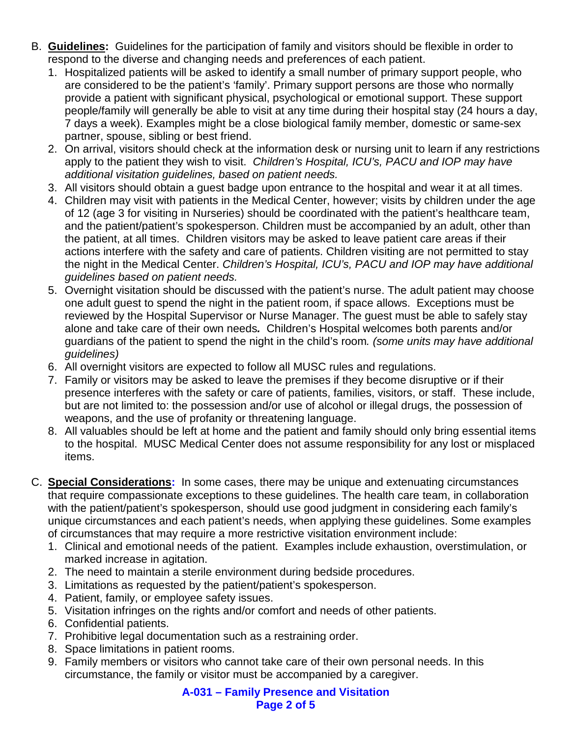- B. **Guidelines:** Guidelines for the participation of family and visitors should be flexible in order to respond to the diverse and changing needs and preferences of each patient.
	- 1. Hospitalized patients will be asked to identify a small number of primary support people, who are considered to be the patient's 'family'. Primary support persons are those who normally provide a patient with significant physical, psychological or emotional support. These support people/family will generally be able to visit at any time during their hospital stay (24 hours a day, 7 days a week). Examples might be a close biological family member, domestic or same-sex partner, spouse, sibling or best friend.
	- 2. On arrival, visitors should check at the information desk or nursing unit to learn if any restrictions apply to the patient they wish to visit. *Children's Hospital, ICU's, PACU and IOP may have additional visitation guidelines, based on patient needs.*
	- 3. All visitors should obtain a guest badge upon entrance to the hospital and wear it at all times.
	- 4. Children may visit with patients in the Medical Center, however; visits by children under the age of 12 (age 3 for visiting in Nurseries) should be coordinated with the patient's healthcare team, and the patient/patient's spokesperson. Children must be accompanied by an adult, other than the patient, at all times. Children visitors may be asked to leave patient care areas if their actions interfere with the safety and care of patients. Children visiting are not permitted to stay the night in the Medical Center. *Children's Hospital, ICU's, PACU and IOP may have additional guidelines based on patient needs.*
	- 5. Overnight visitation should be discussed with the patient's nurse. The adult patient may choose one adult guest to spend the night in the patient room, if space allows. Exceptions must be reviewed by the Hospital Supervisor or Nurse Manager. The guest must be able to safely stay alone and take care of their own needs*.* Children's Hospital welcomes both parents and/or guardians of the patient to spend the night in the child's room*. (some units may have additional guidelines)*
	- 6. All overnight visitors are expected to follow all MUSC rules and regulations.
	- 7. Family or visitors may be asked to leave the premises if they become disruptive or if their presence interferes with the safety or care of patients, families, visitors, or staff. These include, but are not limited to: the possession and/or use of alcohol or illegal drugs, the possession of weapons, and the use of profanity or threatening language.
	- 8. All valuables should be left at home and the patient and family should only bring essential items to the hospital. MUSC Medical Center does not assume responsibility for any lost or misplaced items.
- C. **Special Considerations:** In some cases, there may be unique and extenuating circumstances that require compassionate exceptions to these guidelines. The health care team, in collaboration with the patient/patient's spokesperson, should use good judgment in considering each family's unique circumstances and each patient's needs, when applying these guidelines. Some examples of circumstances that may require a more restrictive visitation environment include:
	- 1. Clinical and emotional needs of the patient. Examples include exhaustion, overstimulation, or marked increase in agitation.
	- 2. The need to maintain a sterile environment during bedside procedures.
	- 3. Limitations as requested by the patient/patient's spokesperson.
	- 4. Patient, family, or employee safety issues.
	- 5. Visitation infringes on the rights and/or comfort and needs of other patients.
	- 6. Confidential patients.
	- 7. Prohibitive legal documentation such as a restraining order.
	- 8. Space limitations in patient rooms.
	- 9. Family members or visitors who cannot take care of their own personal needs. In this circumstance, the family or visitor must be accompanied by a caregiver.

**A-031 – Family Presence and Visitation Page 2 of 5**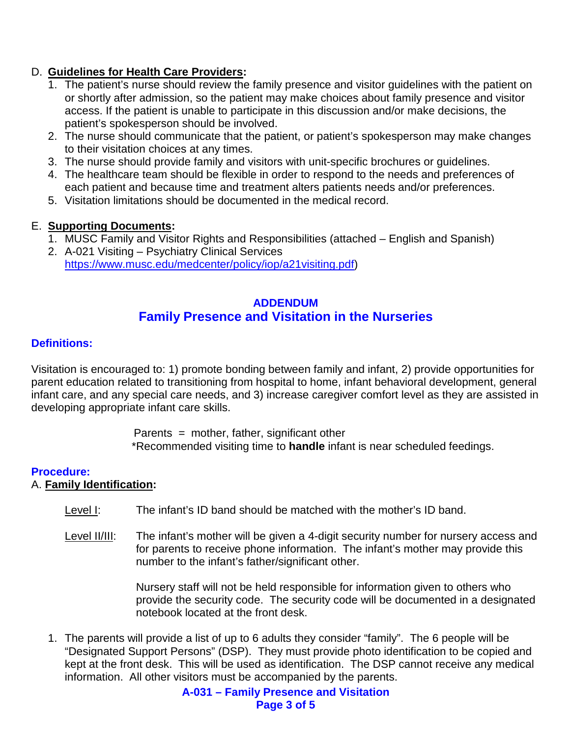#### D. **Guidelines for Health Care Providers:**

- 1. The patient's nurse should review the family presence and visitor guidelines with the patient on or shortly after admission, so the patient may make choices about family presence and visitor access. If the patient is unable to participate in this discussion and/or make decisions, the patient's spokesperson should be involved.
- 2. The nurse should communicate that the patient, or patient's spokesperson may make changes to their visitation choices at any times.
- 3. The nurse should provide family and visitors with unit-specific brochures or guidelines.
- 4. The healthcare team should be flexible in order to respond to the needs and preferences of each patient and because time and treatment alters patients needs and/or preferences.
- 5. Visitation limitations should be documented in the medical record.

#### E. **Supporting Documents:**

- 1. MUSC Family and Visitor Rights and Responsibilities (attached English and Spanish)
- 2. A-021 Visiting Psychiatry Clinical Services [https://www.musc.edu/medcenter/policy/iop/a21visiting.pdf\)](https://www.musc.edu/medcenter/policy/iop/a21visiting.pdf)

#### **ADDENDUM Family Presence and Visitation in the Nurseries**

#### **Definitions:**

Visitation is encouraged to: 1) promote bonding between family and infant, 2) provide opportunities for parent education related to transitioning from hospital to home, infant behavioral development, general infant care, and any special care needs, and 3) increase caregiver comfort level as they are assisted in developing appropriate infant care skills.

> Parents  $=$  mother, father, significant other \*Recommended visiting time to **handle** infant is near scheduled feedings.

#### **Procedure:**

#### A. **Family Identification:**

- Level I: The infant's ID band should be matched with the mother's ID band.
- Level II/III: The infant's mother will be given a 4-digit security number for nursery access and for parents to receive phone information. The infant's mother may provide this number to the infant's father/significant other.

Nursery staff will not be held responsible for information given to others who provide the security code. The security code will be documented in a designated notebook located at the front desk.

1. The parents will provide a list of up to 6 adults they consider "family". The 6 people will be "Designated Support Persons" (DSP). They must provide photo identification to be copied and kept at the front desk. This will be used as identification. The DSP cannot receive any medical information. All other visitors must be accompanied by the parents.

> **A-031 – Family Presence and Visitation Page 3 of 5**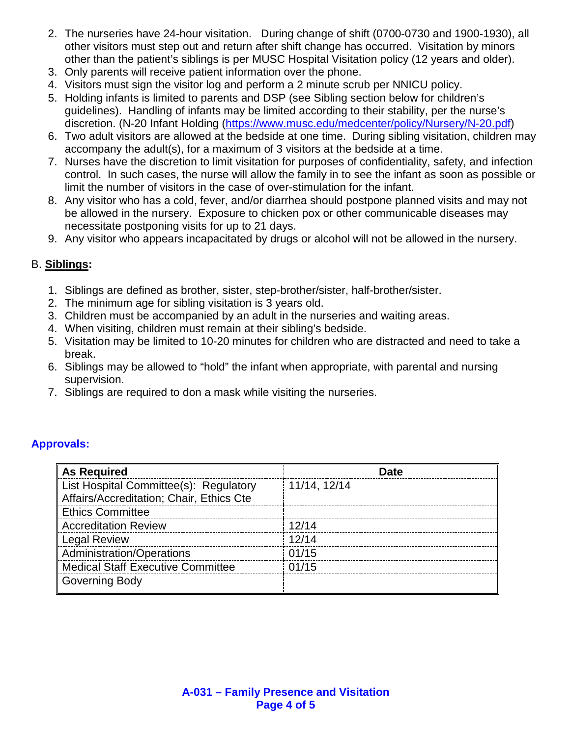- 2. The nurseries have 24-hour visitation. During change of shift (0700-0730 and 1900-1930), all other visitors must step out and return after shift change has occurred. Visitation by minors other than the patient's siblings is per MUSC Hospital Visitation policy (12 years and older).
- 3. Only parents will receive patient information over the phone.
- 4. Visitors must sign the visitor log and perform a 2 minute scrub per NNICU policy.
- 5. Holding infants is limited to parents and DSP (see Sibling section below for children's guidelines). Handling of infants may be limited according to their stability, per the nurse's discretion. (N-20 Infant Holding [\(https://www.musc.edu/medcenter/policy/Nursery/N-20.pdf\)](https://www.musc.edu/medcenter/policy/Nursery/N-20.pdf)
- 6. Two adult visitors are allowed at the bedside at one time. During sibling visitation, children may accompany the adult(s), for a maximum of 3 visitors at the bedside at a time.
- 7. Nurses have the discretion to limit visitation for purposes of confidentiality, safety, and infection control. In such cases, the nurse will allow the family in to see the infant as soon as possible or limit the number of visitors in the case of over-stimulation for the infant.
- 8. Any visitor who has a cold, fever, and/or diarrhea should postpone planned visits and may not be allowed in the nursery. Exposure to chicken pox or other communicable diseases may necessitate postponing visits for up to 21 days.
- 9. Any visitor who appears incapacitated by drugs or alcohol will not be allowed in the nursery.

### B. **Siblings:**

- 1. Siblings are defined as brother, sister, step-brother/sister, half-brother/sister.
- 2. The minimum age for sibling visitation is 3 years old.
- 3. Children must be accompanied by an adult in the nurseries and waiting areas.
- 4. When visiting, children must remain at their sibling's bedside.
- 5. Visitation may be limited to 10-20 minutes for children who are distracted and need to take a break.
- 6. Siblings may be allowed to "hold" the infant when appropriate, with parental and nursing supervision.
- 7. Siblings are required to don a mask while visiting the nurseries.

#### **Approvals:**

| <b>As Required</b>                                                                 | Date         |
|------------------------------------------------------------------------------------|--------------|
| List Hospital Committee(s): Regulatory<br>Affairs/Accreditation; Chair, Ethics Cte | 11/14, 12/14 |
| <b>Ethics Committee</b>                                                            |              |
| <b>Accreditation Review</b>                                                        | 12/14        |
| <b>Legal Review</b>                                                                | 12/14        |
| Administration/Operations                                                          | 01/15        |
| <b>Medical Staff Executive Committee</b>                                           | 01/15        |
| Governing Body                                                                     |              |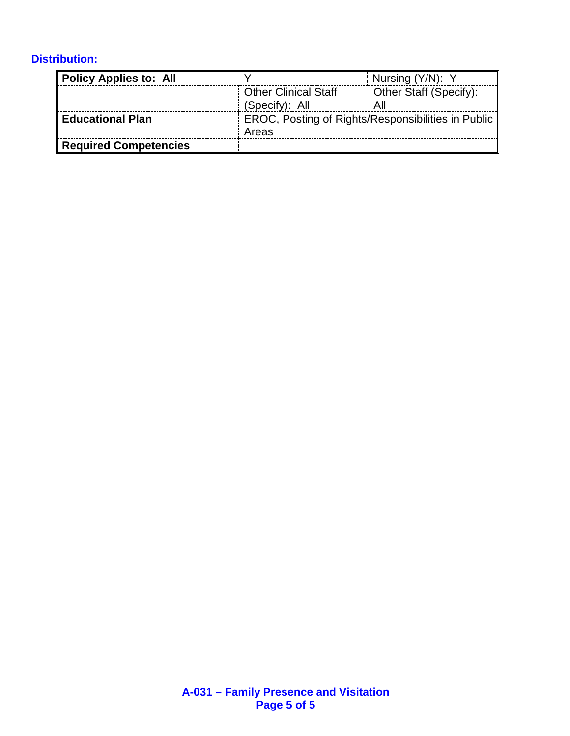# **Distribution:**

| <b>Policy Applies to: All</b> |                                                    | Nursing (Y/N): Y       |  |
|-------------------------------|----------------------------------------------------|------------------------|--|
|                               | <b>Other Clinical Staff</b>                        | Other Staff (Specify): |  |
|                               | (Specify): All                                     | All                    |  |
| <b>Educational Plan</b>       | EROC, Posting of Rights/Responsibilities in Public |                        |  |
|                               | Areas                                              |                        |  |
| <b>Required Competencies</b>  |                                                    |                        |  |